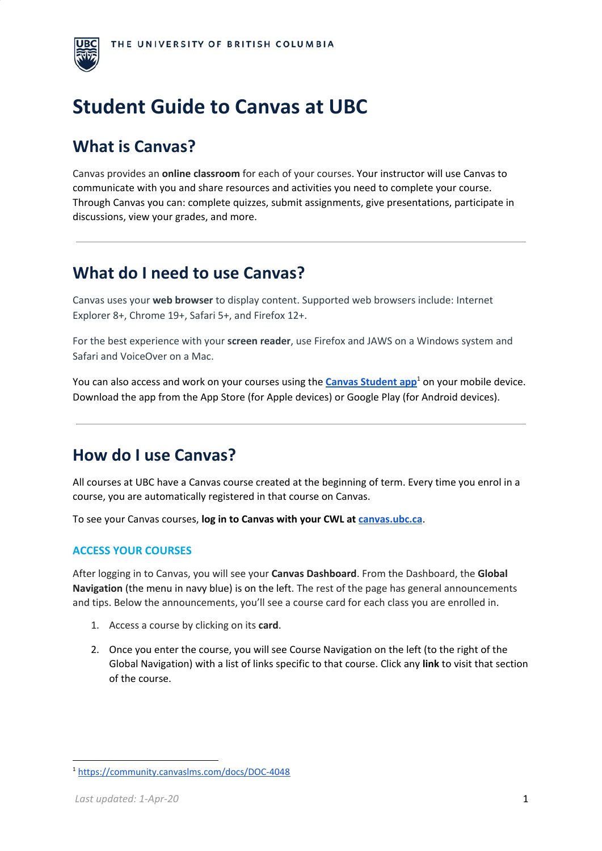

# **Student Guide to Canvas at UBC**

# **What is Canvas?**

Canvas provides an **online classroom** for each of your courses. Your instructor will use Canvas to communicate with you and share resources and activities you need to complete your course. Through Canvas you can: complete quizzes, submit assignments, give presentations, participate in discussions, view your grades, and more.

## **What do I need to use Canvas?**

Canvas uses your **web browser** to display content. Supported web browsers include: Internet Explorer 8+, Chrome 19+, Safari 5+, and Firefox 12+.

For the best experience with your **screen reader**, use Firefox and JAWS on a Windows system and Safari and VoiceOver on a Mac.

You can also access and work on your courses using the **Canvas [Student](https://community.canvaslms.com/docs/DOC-4048) app**<sup>1</sup> on your mobile device. Download the app from the App Store (for Apple devices) or Google Play (for Android devices).

# **How do I use Canvas?**

All courses at UBC have a Canvas course created at the beginning of term. Every time you enrol in a course, you are automatically registered in that course on Canvas.

To see your Canvas courses, **log in to Canvas with your CWL at [canvas.ubc.ca](http://canvas.ubc.ca/)**.

#### **ACCESS YOUR COURSES**

After logging in to Canvas, you will see your **Canvas Dashboard**. From the Dashboard, the **Global Navigation** (the menu in navy blue) is on the left. The rest of the page has general announcements and tips. Below the announcements, you'll see a course card for each class you are enrolled in.

- 1. Access a course by clicking on its **card**.
- 2. Once you enter the course, you will see Course Navigation on the left (to the right of the Global Navigation) with a list of links specific to that course. Click any **link** to visit that section of the course.

<sup>1</sup> <https://community.canvaslms.com/docs/DOC-4048>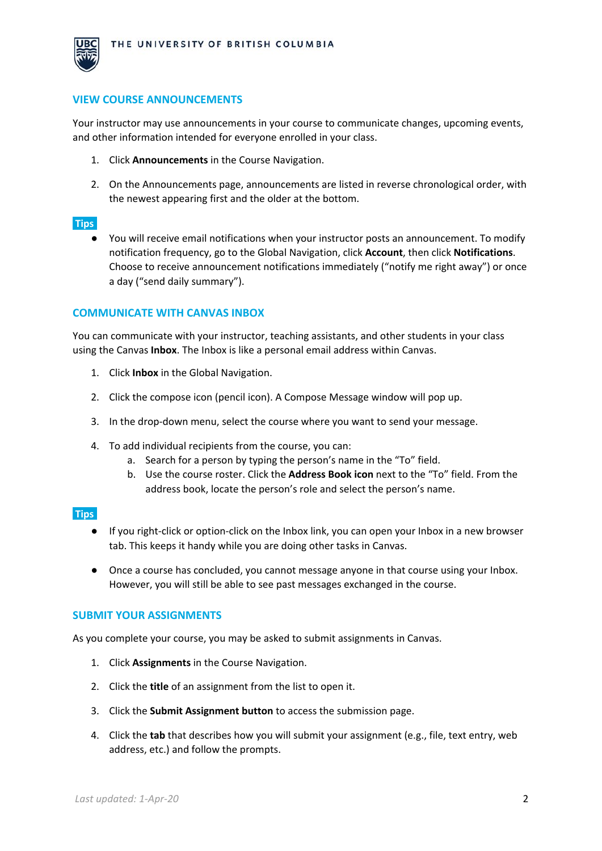

#### **VIEW COURSE ANNOUNCEMENTS**

Your instructor may use announcements in your course to communicate changes, upcoming events, and other information intended for everyone enrolled in your class.

- 1. Click **Announcements** in the Course Navigation.
- 2. On the Announcements page, announcements are listed in reverse chronological order, with the newest appearing first and the older at the bottom.

#### **Tips:**

● You will receive email notifications when your instructor posts an announcement. To modify notification frequency, go to the Global Navigation, click **Account**, then click **Notifications**. Choose to receive announcement notifications immediately ("notify me right away") or once a day ("send daily summary").

#### **COMMUNICATE WITH CANVAS INBOX**

You can communicate with your instructor, teaching assistants, and other students in your class using the Canvas **Inbox**. The Inbox is like a personal email address within Canvas.

- 1. Click **Inbox** in the Global Navigation.
- 2. Click the compose icon (pencil icon). A Compose Message window will pop up.
- 3. In the drop-down menu, select the course where you want to send your message.
- 4. To add individual recipients from the course, you can:
	- a. Search for a person by typing the person's name in the "To" field.
	- b. Use the course roster. Click the **Address Book icon** next to the "To" field. From the address book, locate the person's role and select the person's name.

#### **Tips:**

- If you right-click or option-click on the Inbox link, you can open your Inbox in a new browser tab. This keeps it handy while you are doing other tasks in Canvas.
- Once a course has concluded, you cannot message anyone in that course using your Inbox. However, you will still be able to see past messages exchanged in the course.

#### **SUBMIT YOUR ASSIGNMENTS**

As you complete your course, you may be asked to submit assignments in Canvas.

- 1. Click **Assignments** in the Course Navigation.
- 2. Click the **title** of an assignment from the list to open it.
- 3. Click the **Submit Assignment button** to access the submission page.
- 4. Click the **tab** that describes how you will submit your assignment (e.g., file, text entry, web address, etc.) and follow the prompts.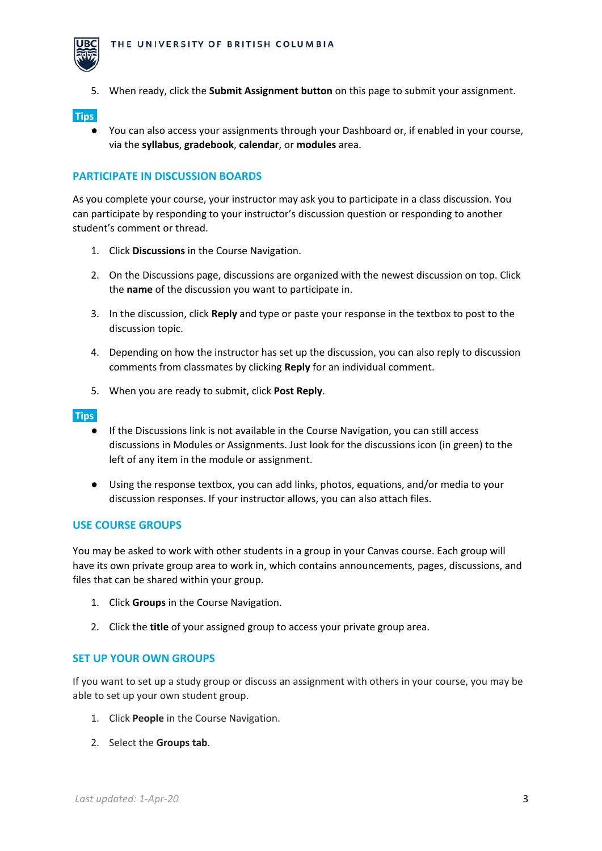

5. When ready, click the **Submit Assignment button** on this page to submit your assignment.

**Tips:**

● You can also access your assignments through your Dashboard or, if enabled in your course, via the **syllabus**, **gradebook**, **calendar**, or **modules** area.

#### **PARTICIPATE IN DISCUSSION BOARDS**

As you complete your course, your instructor may ask you to participate in a class discussion. You can participate by responding to your instructor's discussion question or responding to another student's comment or thread.

- 1. Click **Discussions** in the Course Navigation.
- 2. On the Discussions page, discussions are organized with the newest discussion on top. Click the **name** of the discussion you want to participate in.
- 3. In the discussion, click **Reply** and type or paste your response in the textbox to post to the discussion topic.
- 4. Depending on how the instructor has set up the discussion, you can also reply to discussion comments from classmates by clicking **Reply** for an individual comment.
- 5. When you are ready to submit, click **Post Reply**.

#### **Tips:**

- If the Discussions link is not available in the Course Navigation, you can still access discussions in Modules or Assignments. Just look for the discussions icon (in green) to the left of any item in the module or assignment.
- Using the response textbox, you can add links, photos, equations, and/or media to your discussion responses. If your instructor allows, you can also attach files.

#### **USE COURSE GROUPS**

You may be asked to work with other students in a group in your Canvas course. Each group will have its own private group area to work in, which contains announcements, pages, discussions, and files that can be shared within your group.

- 1. Click **Groups** in the Course Navigation.
- 2. Click the **title** of your assigned group to access your private group area.

#### **SET UP YOUR OWN GROUPS**

If you want to set up a study group or discuss an assignment with others in your course, you may be able to set up your own student group.

- 1. Click **People** in the Course Navigation.
- 2. Select the **Groups tab**.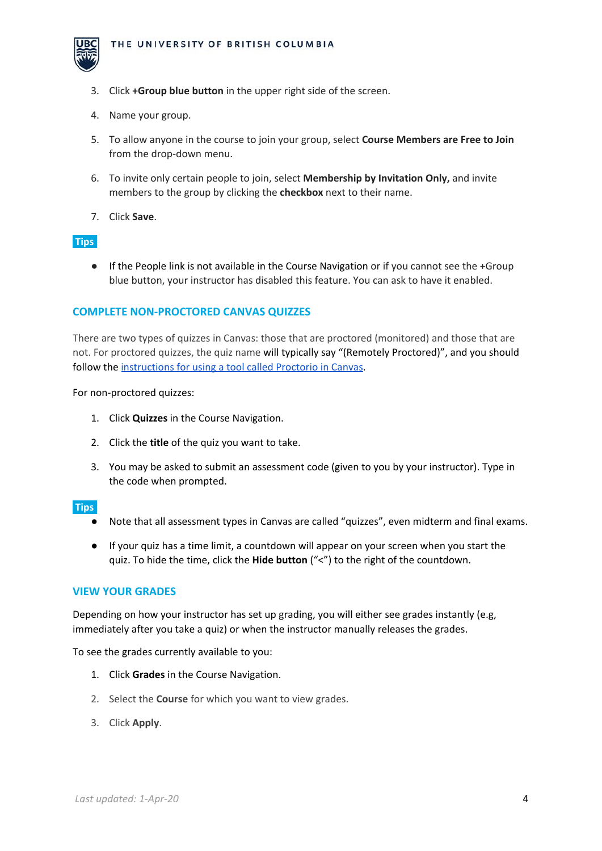

- 3. Click **+Group blue button** in the upper right side of the screen.
- 4. Name your group.
- 5. To allow anyone in the course to join your group, select **Course Members are Free to Join** from the drop-down menu.
- 6. To invite only certain people to join, select **Membership by Invitation Only,** and invite members to the group by clicking the **checkbox** next to their name.
- 7. Click **Save**.

#### **Tips:**

● If the People link is not available in the Course Navigation or if you cannot see the +Group blue button, your instructor has disabled this feature. You can ask to have it enabled.

#### **COMPLETE NON-PROCTORED CANVAS QUIZZES**

There are two types of quizzes in Canvas: those that are proctored (monitored) and those that are not. For proctored quizzes, the quiz name will typically say "(Remotely Proctored)", and you should follow the [instructions](https://keepteaching.ubc.ca/files/2020/03/proctorio-student-guide.pdf) for using a tool called Proctorio in Canvas.

For non-proctored quizzes:

- 1. Click **Quizzes** in the Course Navigation.
- 2. Click the **title** of the quiz you want to take.
- 3. You may be asked to submit an assessment code (given to you by your instructor). Type in the code when prompted.

#### **Tips:**

- Note that all assessment types in Canvas are called "quizzes", even midterm and final exams.
- If your quiz has a time limit, a countdown will appear on your screen when you start the quiz. To hide the time, click the **Hide button** ("<") to the right of the countdown.

#### **VIEW YOUR GRADES**

Depending on how your instructor has set up grading, you will either see grades instantly (e.g, immediately after you take a quiz) or when the instructor manually releases the grades.

To see the grades currently available to you:

- 1. Click **Grades** in the Course Navigation.
- 2. Select the **Course** for which you want to view grades.
- 3. Click **Apply**.